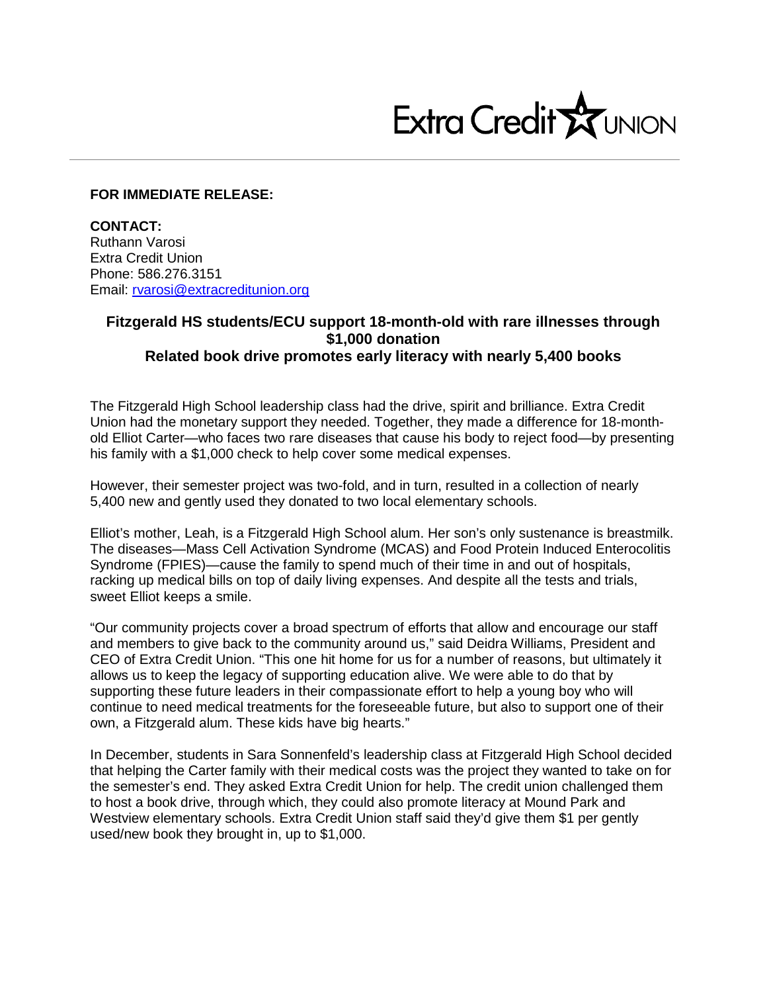

## **FOR IMMEDIATE RELEASE:**

**CONTACT:** Ruthann Varosi Extra Credit Union Phone: 586.276.3151 Email: [rvarosi@extracreditunion.org](mailto:rvarosi@extracreditunion.org)

## **Fitzgerald HS students/ECU support 18-month-old with rare illnesses through \$1,000 donation Related book drive promotes early literacy with nearly 5,400 books**

The Fitzgerald High School leadership class had the drive, spirit and brilliance. Extra Credit Union had the monetary support they needed. Together, they made a difference for 18-monthold Elliot Carter—who faces two rare diseases that cause his body to reject food—by presenting his family with a \$1,000 check to help cover some medical expenses.

However, their semester project was two-fold, and in turn, resulted in a collection of nearly 5,400 new and gently used they donated to two local elementary schools.

Elliot's mother, Leah, is a Fitzgerald High School alum. Her son's only sustenance is breastmilk. The diseases—Mass Cell Activation Syndrome (MCAS) and Food Protein Induced Enterocolitis Syndrome (FPIES)—cause the family to spend much of their time in and out of hospitals, racking up medical bills on top of daily living expenses. And despite all the tests and trials, sweet Elliot keeps a smile.

"Our community projects cover a broad spectrum of efforts that allow and encourage our staff and members to give back to the community around us," said Deidra Williams, President and CEO of Extra Credit Union. "This one hit home for us for a number of reasons, but ultimately it allows us to keep the legacy of supporting education alive. We were able to do that by supporting these future leaders in their compassionate effort to help a young boy who will continue to need medical treatments for the foreseeable future, but also to support one of their own, a Fitzgerald alum. These kids have big hearts."

In December, students in Sara Sonnenfeld's leadership class at Fitzgerald High School decided that helping the Carter family with their medical costs was the project they wanted to take on for the semester's end. They asked Extra Credit Union for help. The credit union challenged them to host a book drive, through which, they could also promote literacy at Mound Park and Westview elementary schools. Extra Credit Union staff said they'd give them \$1 per gently used/new book they brought in, up to \$1,000.